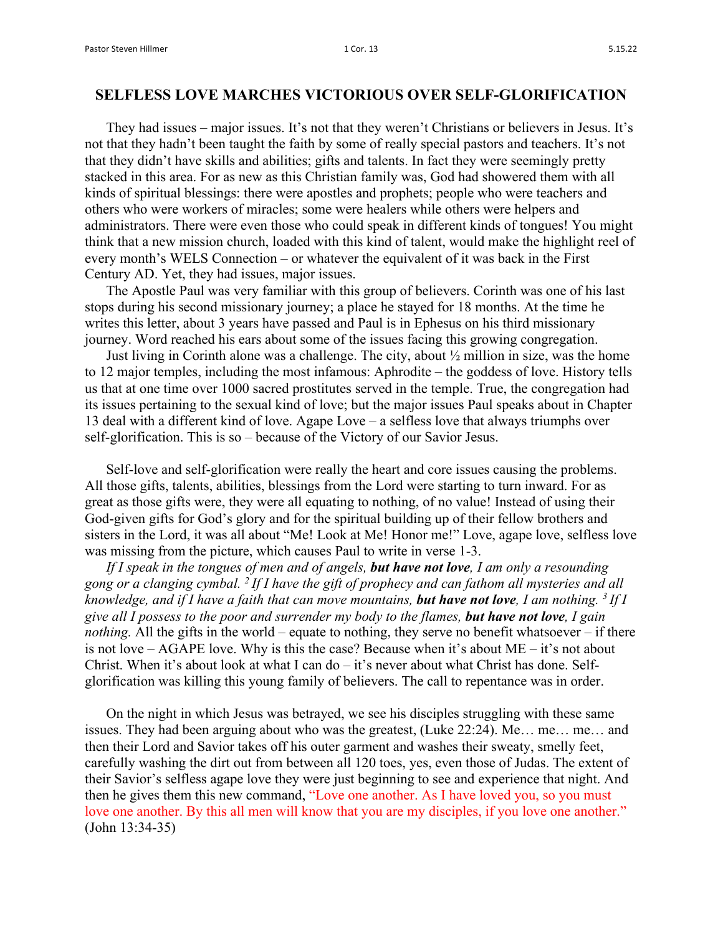## **SELFLESS LOVE MARCHES VICTORIOUS OVER SELF-GLORIFICATION**

They had issues – major issues. It's not that they weren't Christians or believers in Jesus. It's not that they hadn't been taught the faith by some of really special pastors and teachers. It's not that they didn't have skills and abilities; gifts and talents. In fact they were seemingly pretty stacked in this area. For as new as this Christian family was, God had showered them with all kinds of spiritual blessings: there were apostles and prophets; people who were teachers and others who were workers of miracles; some were healers while others were helpers and administrators. There were even those who could speak in different kinds of tongues! You might think that a new mission church, loaded with this kind of talent, would make the highlight reel of every month's WELS Connection – or whatever the equivalent of it was back in the First Century AD. Yet, they had issues, major issues.

The Apostle Paul was very familiar with this group of believers. Corinth was one of his last stops during his second missionary journey; a place he stayed for 18 months. At the time he writes this letter, about 3 years have passed and Paul is in Ephesus on his third missionary journey. Word reached his ears about some of the issues facing this growing congregation.

Just living in Corinth alone was a challenge. The city, about ½ million in size, was the home to 12 major temples, including the most infamous: Aphrodite – the goddess of love. History tells us that at one time over 1000 sacred prostitutes served in the temple. True, the congregation had its issues pertaining to the sexual kind of love; but the major issues Paul speaks about in Chapter 13 deal with a different kind of love. Agape Love – a selfless love that always triumphs over self-glorification. This is so – because of the Victory of our Savior Jesus.

Self-love and self-glorification were really the heart and core issues causing the problems. All those gifts, talents, abilities, blessings from the Lord were starting to turn inward. For as great as those gifts were, they were all equating to nothing, of no value! Instead of using their God-given gifts for God's glory and for the spiritual building up of their fellow brothers and sisters in the Lord, it was all about "Me! Look at Me! Honor me!" Love, agape love, selfless love was missing from the picture, which causes Paul to write in verse 1-3.

*If I speak in the tongues of men and of angels, but have not love, I am only a resounding gong or a clanging cymbal. 2 If I have the gift of prophecy and can fathom all mysteries and all knowledge, and if I have a faith that can move mountains, but have not love, I am nothing. 3 If I give all I possess to the poor and surrender my body to the flames, but have not love, I gain nothing.* All the gifts in the world – equate to nothing, they serve no benefit whatsoever – if there is not love – AGAPE love. Why is this the case? Because when it's about ME – it's not about Christ. When it's about look at what I can  $do - it$ 's never about what Christ has done. Selfglorification was killing this young family of believers. The call to repentance was in order.

On the night in which Jesus was betrayed, we see his disciples struggling with these same issues. They had been arguing about who was the greatest, (Luke 22:24). Me… me… me… and then their Lord and Savior takes off his outer garment and washes their sweaty, smelly feet, carefully washing the dirt out from between all 120 toes, yes, even those of Judas. The extent of their Savior's selfless agape love they were just beginning to see and experience that night. And then he gives them this new command, "Love one another. As I have loved you, so you must love one another. By this all men will know that you are my disciples, if you love one another." (John 13:34-35)